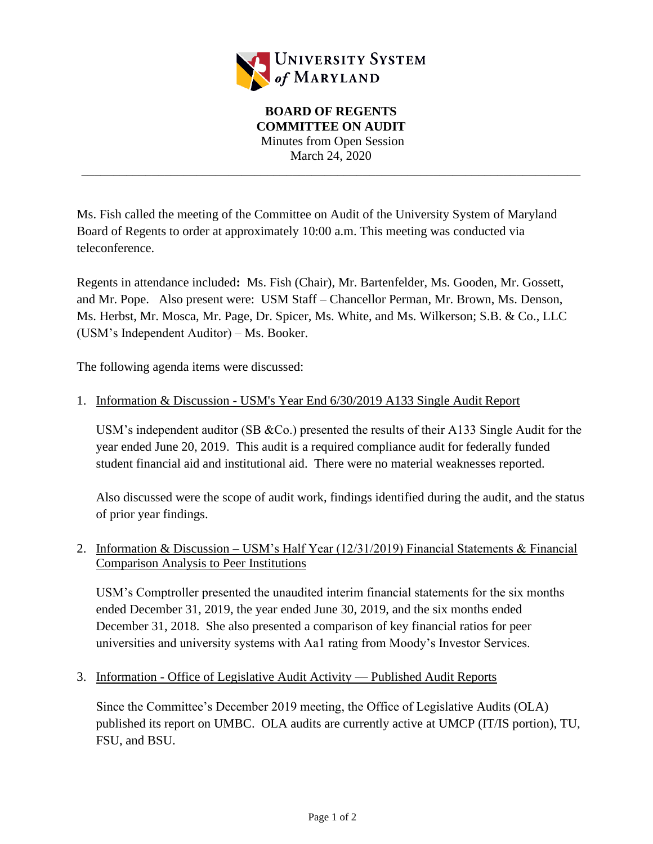

# **BOARD OF REGENTS COMMITTEE ON AUDIT** Minutes from Open Session March 24, 2020

\_\_\_\_\_\_\_\_\_\_\_\_\_\_\_\_\_\_\_\_\_\_\_\_\_\_\_\_\_\_\_\_\_\_\_\_\_\_\_\_\_\_\_\_\_\_\_\_\_\_\_\_\_\_\_\_\_\_\_\_\_\_\_\_\_\_\_\_\_\_\_\_\_\_\_\_\_\_

Ms. Fish called the meeting of the Committee on Audit of the University System of Maryland Board of Regents to order at approximately 10:00 a.m. This meeting was conducted via teleconference.

Regents in attendance included**:** Ms. Fish (Chair), Mr. Bartenfelder, Ms. Gooden, Mr. Gossett, and Mr. Pope. Also present were: USM Staff – Chancellor Perman, Mr. Brown, Ms. Denson, Ms. Herbst, Mr. Mosca, Mr. Page, Dr. Spicer, Ms. White, and Ms. Wilkerson; S.B. & Co., LLC (USM's Independent Auditor) – Ms. Booker.

The following agenda items were discussed:

#### 1. Information & Discussion - USM's Year End 6/30/2019 A133 Single Audit Report

USM's independent auditor (SB &Co.) presented the results of their A133 Single Audit for the year ended June 20, 2019. This audit is a required compliance audit for federally funded student financial aid and institutional aid. There were no material weaknesses reported.

Also discussed were the scope of audit work, findings identified during the audit, and the status of prior year findings.

2. Information & Discussion – USM's Half Year (12/31/2019) Financial Statements & Financial Comparison Analysis to Peer Institutions

USM's Comptroller presented the unaudited interim financial statements for the six months ended December 31, 2019, the year ended June 30, 2019, and the six months ended December 31, 2018. She also presented a comparison of key financial ratios for peer universities and university systems with Aa1 rating from Moody's Investor Services.

3. Information - Office of Legislative Audit Activity — Published Audit Reports

Since the Committee's December 2019 meeting, the Office of Legislative Audits (OLA) published its report on UMBC. OLA audits are currently active at UMCP (IT/IS portion), TU, FSU, and BSU.